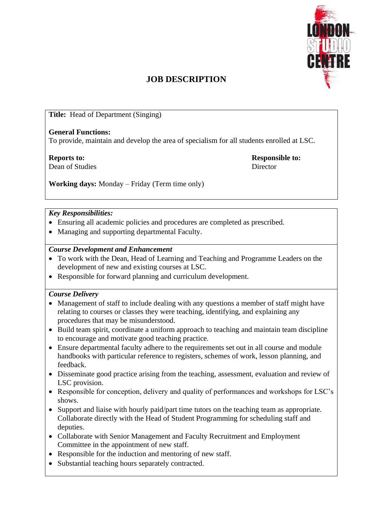

# **JOB DESCRIPTION**

**Title:** Head of Department (Singing)

#### **General Functions:**

To provide, maintain and develop the area of specialism for all students enrolled at LSC.

**Reports to: Responsible to:** Dean of Studies Director

**Working days:** Monday – Friday (Term time only)

### *Key Responsibilities:*

- Ensuring all academic policies and procedures are completed as prescribed.
- Managing and supporting departmental Faculty.

### *Course Development and Enhancement*

- To work with the Dean, Head of Learning and Teaching and Programme Leaders on the development of new and existing courses at LSC.
- Responsible for forward planning and curriculum development.

### *Course Delivery*

- Management of staff to include dealing with any questions a member of staff might have relating to courses or classes they were teaching, identifying, and explaining any procedures that may be misunderstood.
- Build team spirit, coordinate a uniform approach to teaching and maintain team discipline to encourage and motivate good teaching practice.
- Ensure departmental faculty adhere to the requirements set out in all course and module handbooks with particular reference to registers, schemes of work, lesson planning, and feedback.
- Disseminate good practice arising from the teaching, assessment, evaluation and review of LSC provision.
- Responsible for conception, delivery and quality of performances and workshops for LSC's shows.
- Support and liaise with hourly paid/part time tutors on the teaching team as appropriate. Collaborate directly with the Head of Student Programming for scheduling staff and deputies.
- Collaborate with Senior Management and Faculty Recruitment and Employment Committee in the appointment of new staff.
- Responsible for the induction and mentoring of new staff.
- Substantial teaching hours separately contracted.